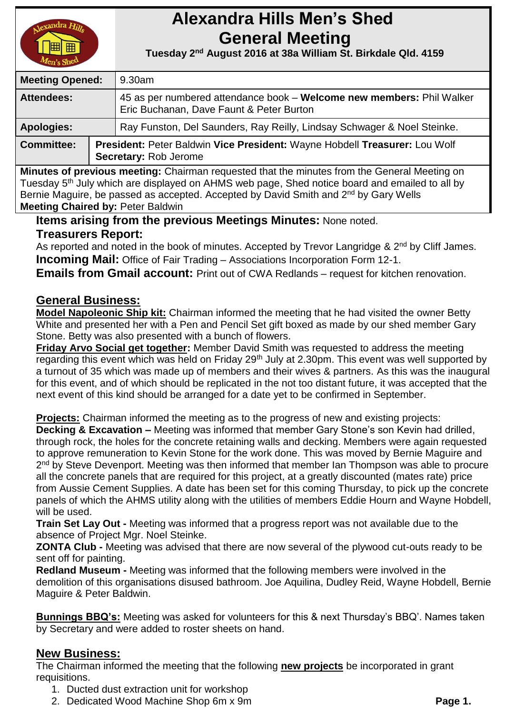

# **Alexandra Hills Men's Shed General Meeting**

 **Tuesday 2 nd August 2016 at 38a William St. Birkdale Qld. 4159** 

| <b>Meeting Opened:</b> |  | 9.30am                                                                                                            |  |
|------------------------|--|-------------------------------------------------------------------------------------------------------------------|--|
| <b>Attendees:</b>      |  | 45 as per numbered attendance book – Welcome new members: Phil Walker<br>Eric Buchanan, Dave Faunt & Peter Burton |  |
| <b>Apologies:</b>      |  | Ray Funston, Del Saunders, Ray Reilly, Lindsay Schwager & Noel Steinke.                                           |  |
| <b>Committee:</b>      |  | President: Peter Baldwin Vice President: Wayne Hobdell Treasurer: Lou Wolf<br>Secretary: Rob Jerome               |  |

**Minutes of previous meeting:** Chairman requested that the minutes from the General Meeting on Tuesday 5<sup>th</sup> July which are displayed on AHMS web page, Shed notice board and emailed to all by Bernie Maguire, be passed as accepted. Accepted by David Smith and 2<sup>nd</sup> by Gary Wells **Meeting Chaired by:** Peter Baldwin

### **Items arising from the previous Meetings Minutes:** None noted. **Treasurers Report:**

As reported and noted in the book of minutes. Accepted by Trevor Langridge & 2<sup>nd</sup> by Cliff James. **Incoming Mail:** Office of Fair Trading – Associations Incorporation Form 12-1.

**Emails from Gmail account:** Print out of CWA Redlands – request for kitchen renovation.

## **General Business:**

**Model Napoleonic Ship kit:** Chairman informed the meeting that he had visited the owner Betty White and presented her with a Pen and Pencil Set gift boxed as made by our shed member Gary Stone. Betty was also presented with a bunch of flowers.

**Friday Arvo Social get together:** Member David Smith was requested to address the meeting regarding this event which was held on Friday 29<sup>th</sup> July at 2.30pm. This event was well supported by a turnout of 35 which was made up of members and their wives & partners. As this was the inaugural for this event, and of which should be replicated in the not too distant future, it was accepted that the next event of this kind should be arranged for a date yet to be confirmed in September.

**Projects:** Chairman informed the meeting as to the progress of new and existing projects:

**Decking & Excavation –** Meeting was informed that member Gary Stone's son Kevin had drilled, through rock, the holes for the concrete retaining walls and decking. Members were again requested to approve remuneration to Kevin Stone for the work done. This was moved by Bernie Maguire and 2<sup>nd</sup> by Steve Devenport. Meeting was then informed that member Ian Thompson was able to procure all the concrete panels that are required for this project, at a greatly discounted (mates rate) price from Aussie Cement Supplies. A date has been set for this coming Thursday, to pick up the concrete panels of which the AHMS utility along with the utilities of members Eddie Hourn and Wayne Hobdell, will be used.

**Train Set Lay Out -** Meeting was informed that a progress report was not available due to the absence of Project Mgr. Noel Steinke.

**ZONTA Club -** Meeting was advised that there are now several of the plywood cut-outs ready to be sent off for painting.

**Redland Museum -** Meeting was informed that the following members were involved in the demolition of this organisations disused bathroom. Joe Aquilina, Dudley Reid, Wayne Hobdell, Bernie Maguire & Peter Baldwin.

**Bunnings BBQ's:** Meeting was asked for volunteers for this & next Thursday's BBQ'. Names taken by Secretary and were added to roster sheets on hand.

## **New Business:**

The Chairman informed the meeting that the following **new projects** be incorporated in grant requisitions.

- 1. Ducted dust extraction unit for workshop
- 2. Dedicated Wood Machine Shop 6m x 9m **Page 1.**